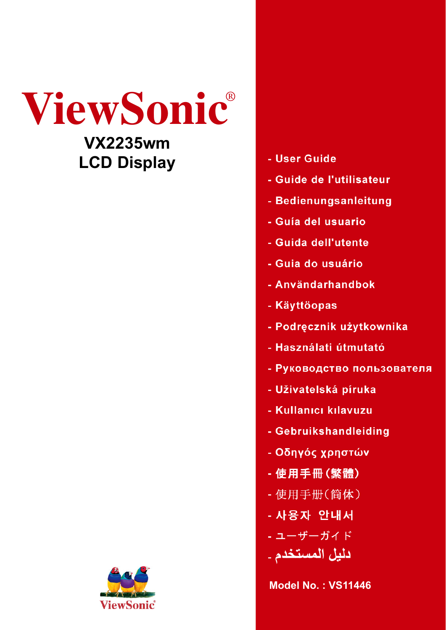



- User Guide
- Guide de l'utilisateur
- Bedienungsanleitung
- Guía del usuario
- Guida dell'utente
- Guia do usuário
- Användarhandbok
- Käyttöopas
- Podręcznik użytkownika
- Használati útmutató
- Руководство пользователя
- Uživatelská píruka
- Kullanıcı kılavuzu
- Gebruikshandleiding
- Οδηγός χρηστών
- 使用手冊(繁體)
- 使用手册(简体)
- 사용자 안내서
- ユーザーガイド
- دليل المستخدم ـ

**Model No. : VS11446**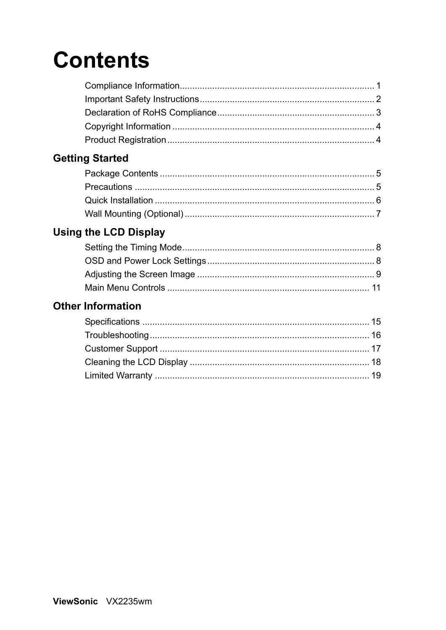# **Contents**

### **Getting Started**

### **Using the LCD Display**

### **Other Information**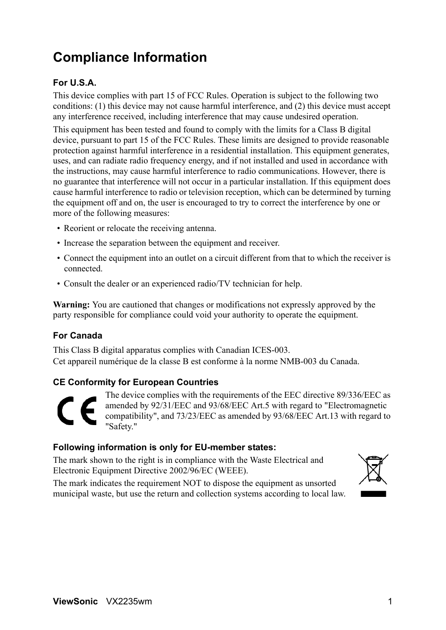# **Compliance Information**

### **For U.S.A.**

This device complies with part 15 of FCC Rules. Operation is subject to the following two conditions: (1) this device may not cause harmful interference, and (2) this device must accept any interference received, including interference that may cause undesired operation.

This equipment has been tested and found to comply with the limits for a Class B digital device, pursuant to part 15 of the FCC Rules. These limits are designed to provide reasonable protection against harmful interference in a residential installation. This equipment generates, uses, and can radiate radio frequency energy, and if not installed and used in accordance with the instructions, may cause harmful interference to radio communications. However, there is no guarantee that interference will not occur in a particular installation. If this equipment does cause harmful interference to radio or television reception, which can be determined by turning the equipment off and on, the user is encouraged to try to correct the interference by one or more of the following measures:

- Reorient or relocate the receiving antenna.
- Increase the separation between the equipment and receiver.
- Connect the equipment into an outlet on a circuit different from that to which the receiver is connected.
- Consult the dealer or an experienced radio/TV technician for help.

**Warning:** You are cautioned that changes or modifications not expressly approved by the party responsible for compliance could void your authority to operate the equipment.

### **For Canada**

This Class B digital apparatus complies with Canadian ICES-003. Cet appareil numérique de la classe B est conforme à la norme NMB-003 du Canada.

### **CE Conformity for European Countries**

The device complies with the requirements of the EEC directive 89/336/EEC as amended by 92/31/EEC and 93/68/EEC Art.5 with regard to "Electromagnetic compatibility", and 73/23/EEC as amended by 93/68/EEC Art.13 with regard to "Safety."

### **Following information is only for EU-member states:**

The mark shown to the right is in compliance with the Waste Electrical and Electronic Equipment Directive 2002/96/EC (WEEE).

The mark indicates the requirement NOT to dispose the equipment as unsorted municipal waste, but use the return and collection systems according to local law.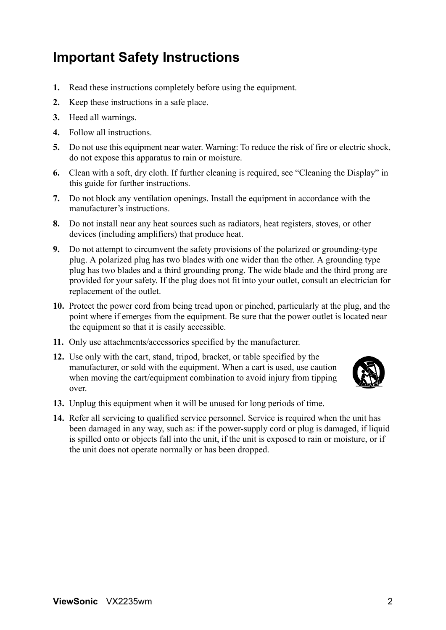### **Important Safety Instructions**

- **1.** Read these instructions completely before using the equipment.
- **2.** Keep these instructions in a safe place.
- **3.** Heed all warnings.
- **4.** Follow all instructions.
- **5.** Do not use this equipment near water. Warning: To reduce the risk of fire or electric shock, do not expose this apparatus to rain or moisture.
- **6.** Clean with a soft, dry cloth. If further cleaning is required, see "Cleaning the Display" in this guide for further instructions.
- **7.** Do not block any ventilation openings. Install the equipment in accordance with the manufacturer's instructions.
- **8.** Do not install near any heat sources such as radiators, heat registers, stoves, or other devices (including amplifiers) that produce heat.
- **9.** Do not attempt to circumvent the safety provisions of the polarized or grounding-type plug. A polarized plug has two blades with one wider than the other. A grounding type plug has two blades and a third grounding prong. The wide blade and the third prong are provided for your safety. If the plug does not fit into your outlet, consult an electrician for replacement of the outlet.
- **10.** Protect the power cord from being tread upon or pinched, particularly at the plug, and the point where if emerges from the equipment. Be sure that the power outlet is located near the equipment so that it is easily accessible.
- **11.** Only use attachments/accessories specified by the manufacturer.
- **12.** Use only with the cart, stand, tripod, bracket, or table specified by the manufacturer, or sold with the equipment. When a cart is used, use caution when moving the cart/equipment combination to avoid injury from tipping over.



- **13.** Unplug this equipment when it will be unused for long periods of time.
- **14.** Refer all servicing to qualified service personnel. Service is required when the unit has been damaged in any way, such as: if the power-supply cord or plug is damaged, if liquid is spilled onto or objects fall into the unit, if the unit is exposed to rain or moisture, or if the unit does not operate normally or has been dropped.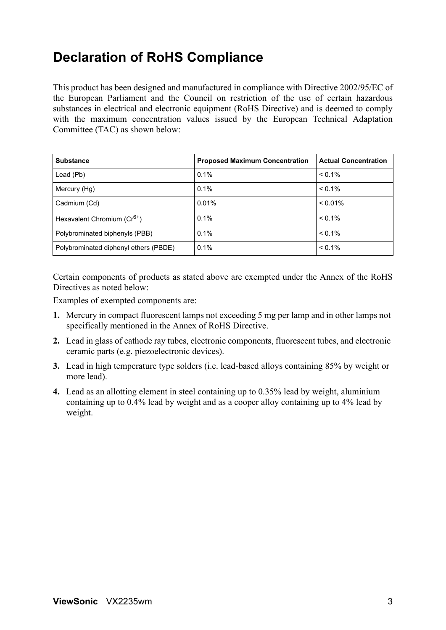### **Declaration of RoHS Compliance**

This product has been designed and manufactured in compliance with Directive 2002/95/EC of the European Parliament and the Council on restriction of the use of certain hazardous substances in electrical and electronic equipment (RoHS Directive) and is deemed to comply with the maximum concentration values issued by the European Technical Adaptation Committee (TAC) as shown below:

| <b>Substance</b>                        | <b>Proposed Maximum Concentration</b> | <b>Actual Concentration</b> |
|-----------------------------------------|---------------------------------------|-----------------------------|
| Lead (Pb)                               | 0.1%                                  | $< 0.1\%$                   |
| Mercury (Hg)                            | 0.1%                                  | $< 0.1\%$                   |
| Cadmium (Cd)                            | 0.01%                                 | $< 0.01\%$                  |
| Hexavalent Chromium (Cr <sup>6+</sup> ) | $0.1\%$                               | $< 0.1\%$                   |
| Polybrominated biphenyls (PBB)          | 0.1%                                  | $< 0.1\%$                   |
| Polybrominated diphenyl ethers (PBDE)   | 0.1%                                  | $< 0.1\%$                   |

Certain components of products as stated above are exempted under the Annex of the RoHS Directives as noted below:

Examples of exempted components are:

- **1.** Mercury in compact fluorescent lamps not exceeding 5 mg per lamp and in other lamps not specifically mentioned in the Annex of RoHS Directive.
- **2.** Lead in glass of cathode ray tubes, electronic components, fluorescent tubes, and electronic ceramic parts (e.g. piezoelectronic devices).
- **3.** Lead in high temperature type solders (i.e. lead-based alloys containing 85% by weight or more lead).
- **4.** Lead as an allotting element in steel containing up to 0.35% lead by weight, aluminium containing up to 0.4% lead by weight and as a cooper alloy containing up to 4% lead by weight.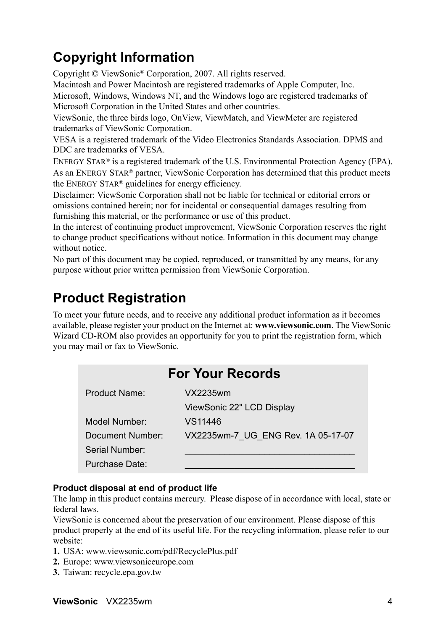# **Copyright Information**

Copyright © ViewSonic® Corporation, 2007. All rights reserved.

Macintosh and Power Macintosh are registered trademarks of Apple Computer, Inc.

Microsoft, Windows, Windows NT, and the Windows logo are registered trademarks of Microsoft Corporation in the United States and other countries.

ViewSonic, the three birds logo, OnView, ViewMatch, and ViewMeter are registered trademarks of ViewSonic Corporation.

VESA is a registered trademark of the Video Electronics Standards Association. DPMS and DDC are trademarks of VESA.

ENERGY STAR® is a registered trademark of the U.S. Environmental Protection Agency (EPA). As an ENERGY STAR® partner, ViewSonic Corporation has determined that this product meets the ENERGY STAR® guidelines for energy efficiency.

Disclaimer: ViewSonic Corporation shall not be liable for technical or editorial errors or omissions contained herein; nor for incidental or consequential damages resulting from furnishing this material, or the performance or use of this product.

In the interest of continuing product improvement, ViewSonic Corporation reserves the right to change product specifications without notice. Information in this document may change without notice

No part of this document may be copied, reproduced, or transmitted by any means, for any purpose without prior written permission from ViewSonic Corporation.

### **Product Registration**

To meet your future needs, and to receive any additional product information as it becomes available, please register your product on the Internet at: **www.viewsonic.com**. The ViewSonic Wizard CD-ROM also provides an opportunity for you to print the registration form, which you may mail or fax to ViewSonic.

|                  | <b>For Your Records</b>            |
|------------------|------------------------------------|
| Product Name:    | VX2235wm                           |
|                  | ViewSonic 22" LCD Display          |
| Model Number:    | VS11446                            |
| Document Number: | VX2235wm-7 UG ENG Rev. 1A 05-17-07 |
| Serial Number:   |                                    |
| Purchase Date:   |                                    |

### **Product disposal at end of product life**

The lamp in this product contains mercury. Please dispose of in accordance with local, state or federal laws.

ViewSonic is concerned about the preservation of our environment. Please dispose of this product properly at the end of its useful life. For the recycling information, please refer to our website:

- **1.** USA: www.viewsonic.com/pdf/RecyclePlus.pdf
- **2.** Europe: www.viewsoniceurope.com
- **3.** Taiwan: recycle.epa.gov.tw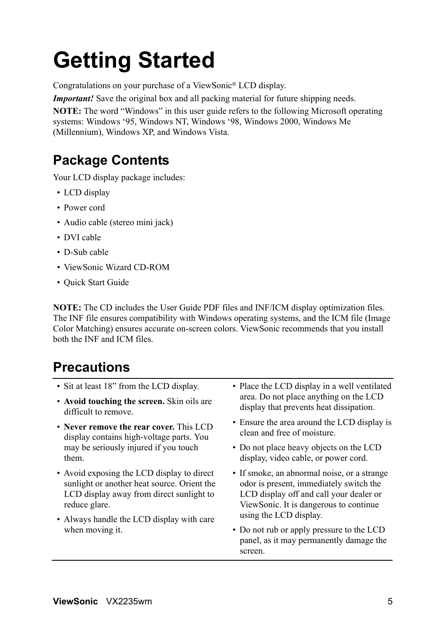# **Getting Started**

Congratulations on your purchase of a ViewSonic® LCD display.

*Important!* Save the original box and all packing material for future shipping needs.

**NOTE:** The word "Windows" in this user guide refers to the following Microsoft operating systems: Windows '95, Windows NT, Windows '98, Windows 2000, Windows Me (Millennium), Windows XP, and Windows Vista.

# **Package Contents**

Your LCD display package includes:

- LCD display
- Power cord
- Audio cable (stereo mini jack)
- DVI cable
- D-Sub cable
- ViewSonic Wizard CD-ROM
- Quick Start Guide

**NOTE:** The CD includes the User Guide PDF files and INF/ICM display optimization files. The INF file ensures compatibility with Windows operating systems, and the ICM file (Image Color Matching) ensures accurate on-screen colors. ViewSonic recommends that you install both the INF and ICM files.

# **Precautions**

- Sit at least 18" from the LCD display.
- **Avoid touching the screen.** Skin oils are difficult to remove.
- **Never remove the rear cover.** This LCD display contains high-voltage parts. You may be seriously injured if you touch them.
- Avoid exposing the LCD display to direct sunlight or another heat source. Orient the LCD display away from direct sunlight to reduce glare.
- Always handle the LCD display with care when moving it.
- Place the LCD display in a well ventilated area. Do not place anything on the LCD display that prevents heat dissipation.
- Ensure the area around the LCD display is clean and free of moisture.
- Do not place heavy objects on the LCD display, video cable, or power cord.
- If smoke, an abnormal noise, or a strange odor is present, immediately switch the LCD display off and call your dealer or ViewSonic. It is dangerous to continue using the LCD display.
- Do not rub or apply pressure to the LCD panel, as it may permanently damage the screen.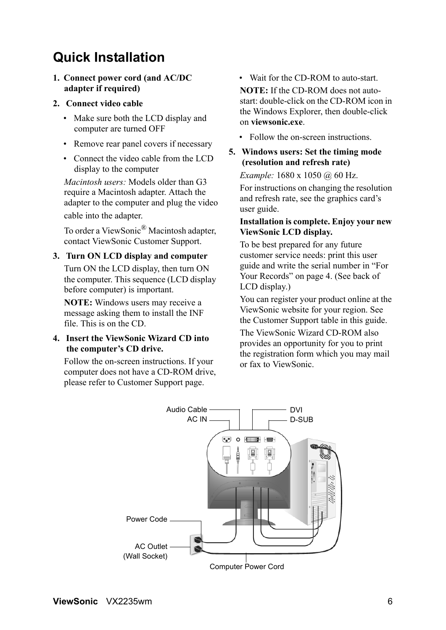# **Quick Installation**

**1. Connect power cord (and AC/DC adapter if required)**

#### **2. Connect video cable**

- Make sure both the LCD display and computer are turned OFF
- Remove rear panel covers if necessary
- Connect the video cable from the LCD display to the computer

*Macintosh users:* Models older than G3 require a Macintosh adapter. Attach the adapter to the computer and plug the video cable into the adapter.

To order a ViewSonic<sup>®</sup> Macintosh adapter, contact ViewSonic Customer Support.

### **3. Turn ON LCD display and computer**

Turn ON the LCD display, then turn ON the computer. This sequence (LCD display before computer) is important.

**NOTE:** Windows users may receive a message asking them to install the INF file. This is on the CD.

#### **4. Insert the ViewSonic Wizard CD into the computer's CD drive.**

Follow the on-screen instructions. If your computer does not have a CD-ROM drive, please refer to Customer Support page.

• Wait for the CD-ROM to auto-start.

**NOTE:** If the CD-ROM does not autostart: double-click on the CD-ROM icon in the Windows Explorer, then double-click on **viewsonic.exe**.

- Follow the on-screen instructions.
- **5. Windows users: Set the timing mode (resolution and refresh rate)**

*Example:* 1680 x 1050 @ 60 Hz.

For instructions on changing the resolution and refresh rate, see the graphics card's user guide.

#### **Installation is complete. Enjoy your new ViewSonic LCD display.**

To be best prepared for any future customer service needs: print this user guide and write the serial number in "For Your Records" on page 4. (See back of LCD display.)

You can register your product online at the ViewSonic website for your region. See the Customer Support table in this guide.

The ViewSonic Wizard CD-ROM also provides an opportunity for you to print the registration form which you may mail or fax to ViewSonic.

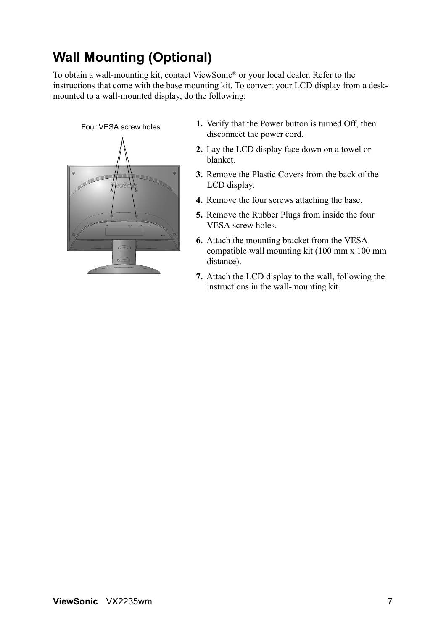# **Wall Mounting (Optional)**

To obtain a wall-mounting kit, contact ViewSonic® or your local dealer. Refer to the instructions that come with the base mounting kit. To convert your LCD display from a deskmounted to a wall-mounted display, do the following:

#### Four VESA screw holes



- **1.** Verify that the Power button is turned Off, then disconnect the power cord.
- **2.** Lay the LCD display face down on a towel or blanket.
- **3.** Remove the Plastic Covers from the back of the LCD display.
- **4.** Remove the four screws attaching the base.
- **5.** Remove the Rubber Plugs from inside the four VESA screw holes.
- **6.** Attach the mounting bracket from the VESA compatible wall mounting kit (100 mm x 100 mm distance).
- **7.** Attach the LCD display to the wall, following the instructions in the wall-mounting kit.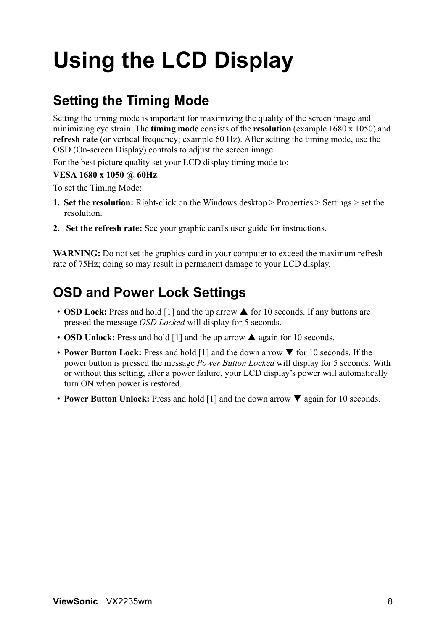# **Using the LCD Display**

# **Setting the Timing Mode**

Setting the timing mode is important for maximizing the quality of the screen image and minimizing eye strain. The **timing mode** consists of the **resolution** (example 1680 x 1050) and **refresh rate** (or vertical frequency; example 60 Hz). After setting the timing mode, use the OSD (On-screen Display) controls to adjust the screen image.

For the best picture quality set your LCD display timing mode to:

### **VESA 1680 x 1050 @ 60Hz**.

To set the Timing Mode:

- **1. Set the resolution:** Right-click on the Windows desktop > Properties > Settings > set the resolution.
- **2. Set the refresh rate:** See your graphic card's user guide for instructions.

**WARNING:** Do not set the graphics card in your computer to exceed the maximum refresh rate of 75Hz; doing so may result in permanent damage to your LCD display.

### **OSD and Power Lock Settings**

- **OSD Lock:** Press and hold  $\begin{bmatrix} 1 \end{bmatrix}$  and the up arrow  $\blacktriangle$  for 10 seconds. If any buttons are pressed the message *OSD Locked* will display for 5 seconds.
- **OSD Unlock:** Press and hold  $[1]$  and the up arrow  $\triangle$  again for 10 seconds.
- **Power Button Lock:** Press and hold [1] and the down arrow  $\blacktriangledown$  for 10 seconds. If the power button is pressed the message *Power Button Locked* will display for 5 seconds. With or without this setting, after a power failure, your LCD display's power will automatically turn ON when power is restored.
- **Power Button Unlock:** Press and hold [1] and the down arrow  $\nabla$  again for 10 seconds.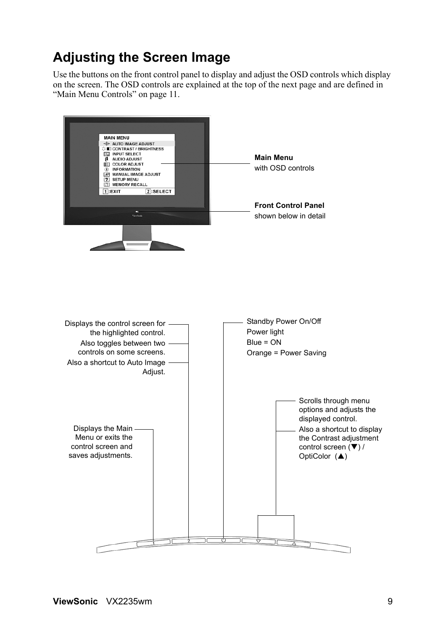### **Adjusting the Screen Image**

Use the buttons on the front control panel to display and adjust the OSD controls which display on the screen. The OSD controls are explained at the top of the next page and are defined in "Main Menu Controls" on page 11.

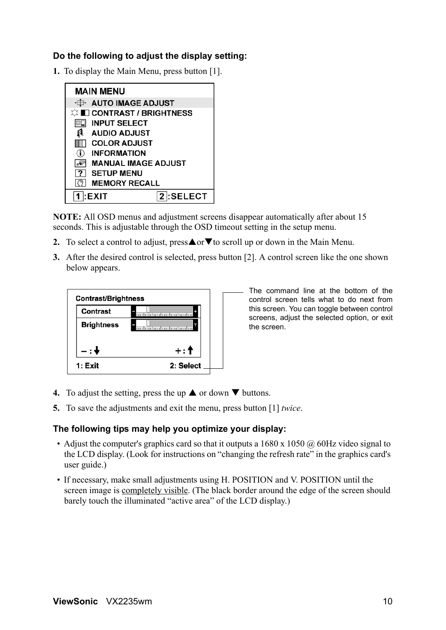### **Do the following to adjust the display setting:**

**1.** To display the Main Menu, press button [1].



**NOTE:** All OSD menus and adjustment screens disappear automatically after about 15 seconds. This is adjustable through the OSD timeout setting in the setup menu.

- **2.** To select a control to adjust, press $\triangle$  or  $\nabla$  to scroll up or down in the Main Menu.
- **3.** After the desired control is selected, press button [2]. A control screen like the one shown below appears.



The command line at the bottom of the control screen tells what to do next from this screen. You can toggle between control screens, adjust the selected option, or exit the screen.

- **4.** To adjust the setting, press the up  $\triangle$  or down  $\nabla$  buttons.
- **5.** To save the adjustments and exit the menu, press button [1] *twice*.

#### **The following tips may help you optimize your display:**

- Adjust the computer's graphics card so that it outputs a  $1680 \times 1050 \omega$  60Hz video signal to the LCD display. (Look for instructions on "changing the refresh rate" in the graphics card's user guide.)
- If necessary, make small adjustments using H. POSITION and V. POSITION until the screen image is completely visible. (The black border around the edge of the screen should barely touch the illuminated "active area" of the LCD display.)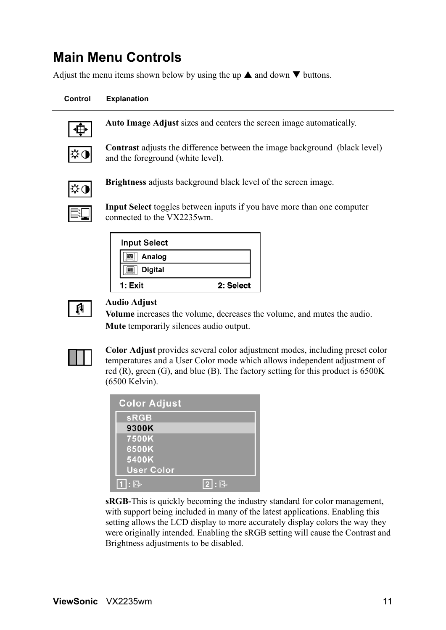### **Main Menu Controls**

Adjust the menu items shown below by using the up  $\blacktriangle$  and down  $\nabla$  buttons.

#### **Control Explanation**



**Auto Image Adjust** sizes and centers the screen image automatically.



**Contrast** adjusts the difference between the image background (black level) and the foreground (white level).



**Brightness** adjusts background black level of the screen image.

**Input Select** toggles between inputs if you have more than one computer connected to the VX2235wm.

| <b>Input Select</b> |           |
|---------------------|-----------|
| Analog              |           |
| <b>Digital</b>      |           |
| 1: Exit             | 2: Select |



#### **Audio Adjust**

**Volume** increases the volume, decreases the volume, and mutes the audio. **Mute** temporarily silences audio output.



**Color Adjust** provides several color adjustment modes, including preset color temperatures and a User Color mode which allows independent adjustment of red  $(R)$ , green  $(G)$ , and blue  $(B)$ . The factory setting for this product is 6500K (6500 Kelvin).

| <b>Color Adjust</b> |                   |
|---------------------|-------------------|
| <b>sRGB</b>         |                   |
| 9300K               |                   |
| 7500K               |                   |
| 6500K               |                   |
| 5400K               |                   |
| <b>User Color</b>   |                   |
| $: \mathbb{R}$      | <u>  2   : [연</u> |

**sRGB-**This is quickly becoming the industry standard for color management, with support being included in many of the latest applications. Enabling this setting allows the LCD display to more accurately display colors the way they were originally intended. Enabling the sRGB setting will cause the Contrast and Brightness adjustments to be disabled.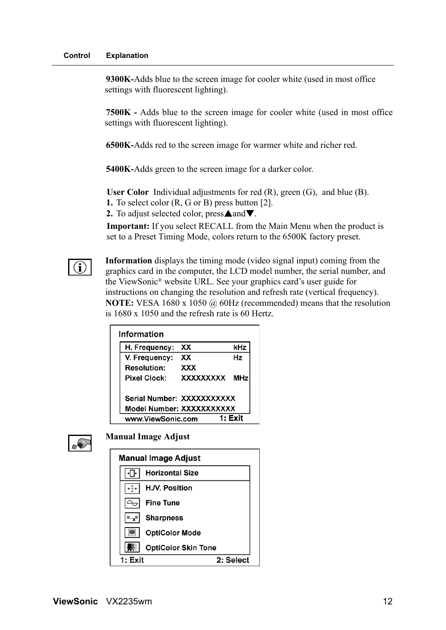**9300K-**Adds blue to the screen image for cooler white (used in most office settings with fluorescent lighting).

**7500K -** Adds blue to the screen image for cooler white (used in most office settings with fluorescent lighting).

**6500K-**Adds red to the screen image for warmer white and richer red.

**5400K-**Adds green to the screen image for a darker color.

**User Color** Individual adjustments for red (R), green (G), and blue (B).

**1.** To select color (R, G or B) press button [2].

**2.** To adjust selected color, press $\triangle$  and  $\nabla$ .

**Important:** If you select RECALL from the Main Menu when the product is set to a Preset Timing Mode, colors return to the 6500K factory preset.



**Information** displays the timing mode (video signal input) coming from the graphics card in the computer, the LCD model number, the serial number, and the ViewSonic® website URL. See your graphics card's user guide for instructions on changing the resolution and refresh rate (vertical frequency). **NOTE:** VESA 1680 x 1050 @ 60Hz (recommended) means that the resolution is 1680 x 1050 and the refresh rate is 60 Hertz.

| Information               |           |            |
|---------------------------|-----------|------------|
| H. Frequency:             | ХX        | kHz        |
| V. Frequency:             | xх        | Ηz         |
| <b>Resolution:</b>        | xxx       |            |
| Pixel Clock:              | XXXXXXXXX | <b>MHz</b> |
| Serial Number: XXXXXXXXXX |           |            |
| Model Number: XXXXXXXXXX  |           |            |
| www.ViewSonic.com         |           | 1: Fxit    |



**Manual Image Adjust**

| Manual Image Adjust        |           |
|----------------------------|-----------|
| <b>Horizontal Size</b>     |           |
| H.N. Position              |           |
| <b>Fine Tune</b>           |           |
| <b>Sharpness</b>           |           |
| <b>OptiColor Mode</b>      |           |
| <b>OptiColor Skin Tone</b> |           |
| 1: Fxit                    | 2: Select |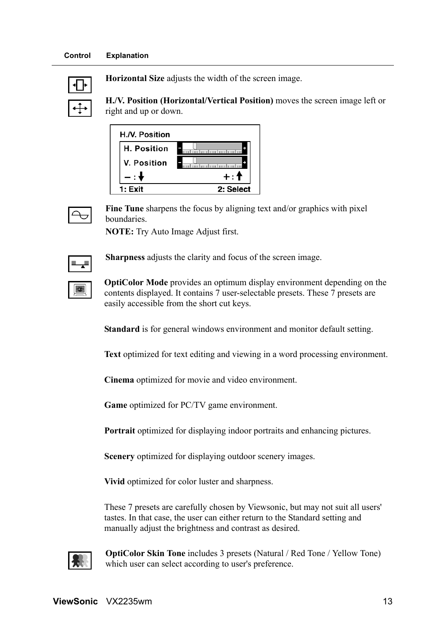

**Horizontal Size** adjusts the width of the screen image.

**H./V. Position (Horizontal/Vertical Position)** moves the screen image left or right and up or down.

| H.N. Position |           |
|---------------|-----------|
| H. Position   |           |
| V. Position   |           |
|               | $\pm$     |
| 1: Exit       | 2: Select |



**Fine Tune** sharpens the focus by aligning text and/or graphics with pixel boundaries.

**NOTE:** Try Auto Image Adjust first.



♦

**Sharpness** adjusts the clarity and focus of the screen image.

**OptiColor Mode** provides an optimum display environment depending on the contents displayed. It contains 7 user-selectable presets. These 7 presets are easily accessible from the short cut keys.

**Standard** is for general windows environment and monitor default setting.

**Text** optimized for text editing and viewing in a word processing environment.

**Cinema** optimized for movie and video environment.

**Game** optimized for PC/TV game environment.

**Portrait** optimized for displaying indoor portraits and enhancing pictures.

**Scenery** optimized for displaying outdoor scenery images.

**Vivid** optimized for color luster and sharpness.

These 7 presets are carefully chosen by Viewsonic, but may not suit all users' tastes. In that case, the user can either return to the Standard setting and manually adjust the brightness and contrast as desired.



**OptiColor Skin Tone** includes 3 presets (Natural / Red Tone / Yellow Tone) which user can select according to user's preference.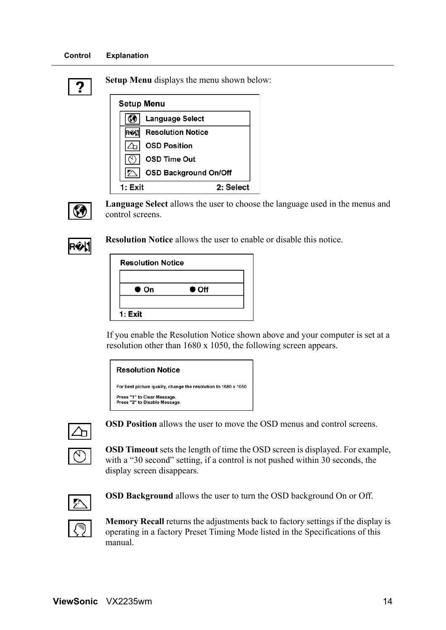#### **Control Explanation**

|--|

**Setup Menu** displays the menu shown below:

| <b>Setup Menu</b> |                              |  |  |  |
|-------------------|------------------------------|--|--|--|
|                   | Language Select              |  |  |  |
|                   | <b>Resolution Notice</b>     |  |  |  |
|                   | <b>OSD Position</b>          |  |  |  |
|                   | <b>OSD Time Out</b>          |  |  |  |
|                   | <b>OSD Background On/Off</b> |  |  |  |
| 1: Exit           | 2: Select                    |  |  |  |



**Language Select** allows the user to choose the language used in the menus and control screens.



**Resolution Notice** allows the user to enable or disable this notice.

| <b>Resolution Notice</b> |               |  |
|--------------------------|---------------|--|
|                          |               |  |
| $\bullet$ On             | $\bullet$ Off |  |
| 1: Exit                  |               |  |

If you enable the Resolution Notice shown above and your computer is set at a resolution other than 1680 x 1050, the following screen appears.

#### **Resolution Notice**

```
For best picture quality, change the resolution to 1680 x 1050
Press "1" to Clear Message.<br>Press "2" to Disable Message.
```


**OSD Position** allows the user to move the OSD menus and control screens.



**OSD Timeout** sets the length of time the OSD screen is displayed. For example, with a "30 second" setting, if a control is not pushed within 30 seconds, the display screen disappears.



**OSD Background** allows the user to turn the OSD background On or Off.



**Memory Recall** returns the adjustments back to factory settings if the display is operating in a factory Preset Timing Mode listed in the Specifications of this

**ViewSonic** VX2235wm 14

manual.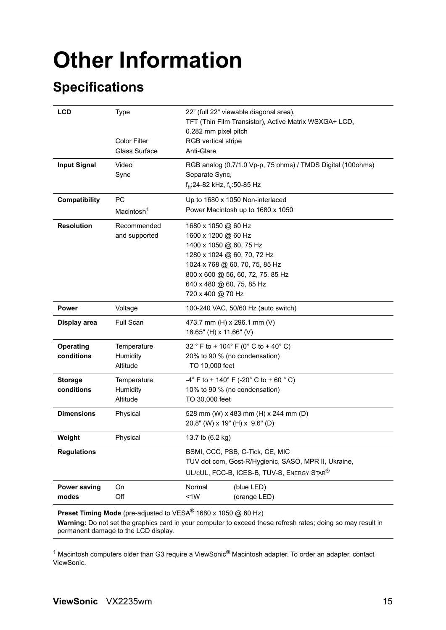# **Other Information**

# **Specifications**

| <b>LCD</b>                   | <b>Type</b>                                 | 22" (full 22" viewable diagonal area),<br>TFT (Thin Film Transistor), Active Matrix WSXGA+ LCD,<br>0.282 mm pixel pitch |  |  |
|------------------------------|---------------------------------------------|-------------------------------------------------------------------------------------------------------------------------|--|--|
|                              | <b>Color Filter</b><br><b>Glass Surface</b> | RGB vertical stripe<br>Anti-Glare                                                                                       |  |  |
| <b>Input Signal</b><br>Video |                                             | RGB analog (0.7/1.0 Vp-p, 75 ohms) / TMDS Digital (100ohms)                                                             |  |  |
|                              | Sync                                        | Separate Sync,<br>f <sub>h</sub> :24-82 kHz, f <sub>v</sub> :50-85 Hz                                                   |  |  |
| Compatibility                | <b>PC</b>                                   | Up to 1680 x 1050 Non-interlaced                                                                                        |  |  |
|                              | Macintosh <sup>1</sup>                      | Power Macintosh up to 1680 x 1050                                                                                       |  |  |
| <b>Resolution</b>            | Recommended                                 | 1680 x 1050 @ 60 Hz                                                                                                     |  |  |
|                              | and supported                               | 1600 x 1200 @ 60 Hz                                                                                                     |  |  |
|                              |                                             | 1400 x 1050 @ 60, 75 Hz                                                                                                 |  |  |
|                              |                                             | 1280 x 1024 @ 60, 70, 72 Hz                                                                                             |  |  |
|                              |                                             | 1024 x 768 @ 60, 70, 75, 85 Hz                                                                                          |  |  |
|                              |                                             | 800 x 600 @ 56, 60, 72, 75, 85 Hz                                                                                       |  |  |
|                              |                                             | 640 x 480 @ 60, 75, 85 Hz                                                                                               |  |  |
|                              |                                             | 720 x 400 @ 70 Hz                                                                                                       |  |  |
| <b>Power</b>                 | Voltage                                     | 100-240 VAC, 50/60 Hz (auto switch)                                                                                     |  |  |
| Display area                 | <b>Full Scan</b>                            | 473.7 mm (H) x 296.1 mm (V)                                                                                             |  |  |
|                              |                                             | 18.65" (H) x 11.66" (V)                                                                                                 |  |  |
| <b>Operating</b>             | Temperature                                 | 32 ° F to + 104 ° F (0 ° C to + 40 ° C)                                                                                 |  |  |
| conditions                   | Humidity                                    | 20% to 90 % (no condensation)                                                                                           |  |  |
|                              | Altitude                                    | TO 10,000 feet                                                                                                          |  |  |
| <b>Storage</b>               | Temperature                                 | $-4^{\circ}$ F to + 140 $^{\circ}$ F (-20 $^{\circ}$ C to + 60 $^{\circ}$ C)                                            |  |  |
| conditions                   | Humidity                                    | 10% to 90 % (no condensation)                                                                                           |  |  |
| Altitude<br>TO 30,000 feet   |                                             |                                                                                                                         |  |  |
| <b>Dimensions</b>            | Physical                                    | 528 mm (W) x 483 mm (H) x 244 mm (D)                                                                                    |  |  |
|                              |                                             | 20.8" (W) x 19" (H) x 9.6" (D)                                                                                          |  |  |
| Weight                       | Physical                                    | 13.7 lb (6.2 kg)                                                                                                        |  |  |
| <b>Regulations</b>           |                                             | BSMI, CCC, PSB, C-Tick, CE, MIC<br>TUV dot com, Gost-R/Hygienic, SASO, MPR II, Ukraine,                                 |  |  |
|                              |                                             |                                                                                                                         |  |  |
|                              |                                             | UL/cUL, FCC-B, ICES-B, TUV-S, ENERGY STAR®                                                                              |  |  |
| <b>Power saving</b>          | On                                          | Normal<br>(blue LED)                                                                                                    |  |  |
| modes                        | Off                                         | <1W<br>(orange LED)                                                                                                     |  |  |
|                              |                                             |                                                                                                                         |  |  |

**Preset Timing Mode** (pre-adjusted to VESA® 1680 x 1050 @ 60 Hz)

**Warning:** Do not set the graphics card in your computer to exceed these refresh rates; doing so may result in permanent damage to the LCD display.

 $1$  Macintosh computers older than G3 require a ViewSonic® Macintosh adapter. To order an adapter, contact ViewSonic.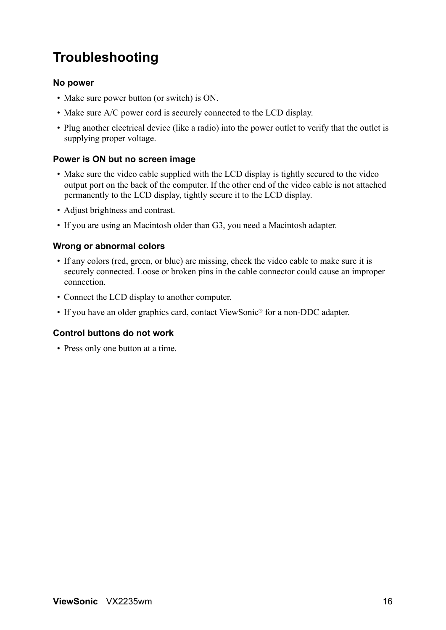# **Troubleshooting**

#### **No power**

- Make sure power button (or switch) is ON.
- Make sure A/C power cord is securely connected to the LCD display.
- Plug another electrical device (like a radio) into the power outlet to verify that the outlet is supplying proper voltage.

#### **Power is ON but no screen image**

- Make sure the video cable supplied with the LCD display is tightly secured to the video output port on the back of the computer. If the other end of the video cable is not attached permanently to the LCD display, tightly secure it to the LCD display.
- Adjust brightness and contrast.
- If you are using an Macintosh older than G3, you need a Macintosh adapter.

#### **Wrong or abnormal colors**

- If any colors (red, green, or blue) are missing, check the video cable to make sure it is securely connected. Loose or broken pins in the cable connector could cause an improper connection.
- Connect the LCD display to another computer.
- If you have an older graphics card, contact ViewSonic® for a non-DDC adapter.

### **Control buttons do not work**

• Press only one button at a time.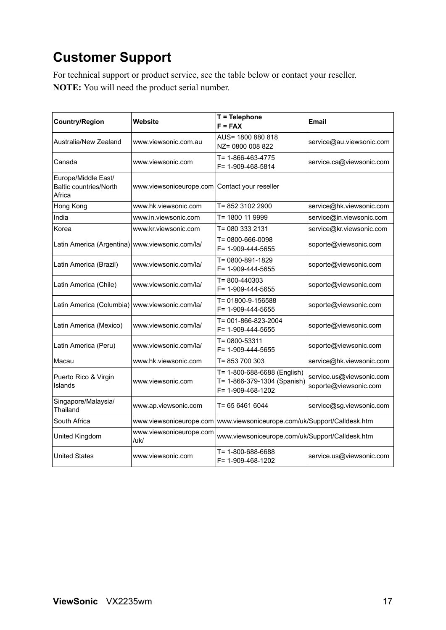# **Customer Support**

For technical support or product service, see the table below or contact your reseller. **NOTE:** You will need the product serial number.

| <b>Country/Region</b>                                          | Website                                       | T = Telephone<br>$F = FAX$                                                      | <b>Email</b>                                      |
|----------------------------------------------------------------|-----------------------------------------------|---------------------------------------------------------------------------------|---------------------------------------------------|
| Australia/New Zealand                                          | www.viewsonic.com.au                          | AUS= 1800 880 818<br>NZ= 0800 008 822                                           | service@au.viewsonic.com                          |
| Canada                                                         | www.viewsonic.com                             | T= 1-866-463-4775<br>F= 1-909-468-5814                                          | service.ca@viewsonic.com                          |
| Europe/Middle East/<br><b>Baltic countries/North</b><br>Africa | www.viewsoniceurope.com Contact your reseller |                                                                                 |                                                   |
| Hong Kong                                                      | www.hk.viewsonic.com                          | T= 852 3102 2900                                                                | service@hk.viewsonic.com                          |
| India                                                          | www.in.viewsonic.com                          | T= 1800 11 9999                                                                 | service@in.viewsonic.com                          |
| Korea                                                          | www.kr.viewsonic.com                          | T= 080 333 2131                                                                 | service@kr.viewsonic.com                          |
| Latin America (Argentina) www.viewsonic.com/la/                |                                               | T= 0800-666-0098<br>F= 1-909-444-5655                                           | soporte@viewsonic.com                             |
| Latin America (Brazil)                                         | www.viewsonic.com/la/                         | T= 0800-891-1829<br>F= 1-909-444-5655                                           | soporte@viewsonic.com                             |
| Latin America (Chile)                                          | www.viewsonic.com/la/                         | T=800-440303<br>F= 1-909-444-5655                                               | soporte@viewsonic.com                             |
| Latin America (Columbia)   www.viewsonic.com/la/               |                                               | T= 01800-9-156588<br>F= 1-909-444-5655                                          | soporte@viewsonic.com                             |
| Latin America (Mexico)                                         | www.viewsonic.com/la/                         | T= 001-866-823-2004<br>F= 1-909-444-5655                                        | soporte@viewsonic.com                             |
| Latin America (Peru)                                           | www.viewsonic.com/la/                         | T= 0800-53311<br>F= 1-909-444-5655                                              | soporte@viewsonic.com                             |
| Macau                                                          | www.hk.viewsonic.com                          | T= 853 700 303                                                                  | service@hk.viewsonic.com                          |
| Puerto Rico & Virgin<br>Islands                                | www.viewsonic.com                             | T= 1-800-688-6688 (English)<br>T= 1-866-379-1304 (Spanish)<br>F= 1-909-468-1202 | service.us@viewsonic.com<br>soporte@viewsonic.com |
| Singapore/Malaysia/<br>Thailand                                | www.ap.viewsonic.com                          | T= 65 6461 6044                                                                 | service@sg.viewsonic.com                          |
| South Africa                                                   | www.viewsoniceurope.com                       | www.viewsoniceurope.com/uk/Support/Calldesk.htm                                 |                                                   |
| United Kingdom                                                 | www.viewsoniceurope.com<br>/uk/               | www.viewsoniceurope.com/uk/Support/Calldesk.htm                                 |                                                   |
| <b>United States</b>                                           | www.viewsonic.com                             | T= 1-800-688-6688<br>F= 1-909-468-1202                                          | service.us@viewsonic.com                          |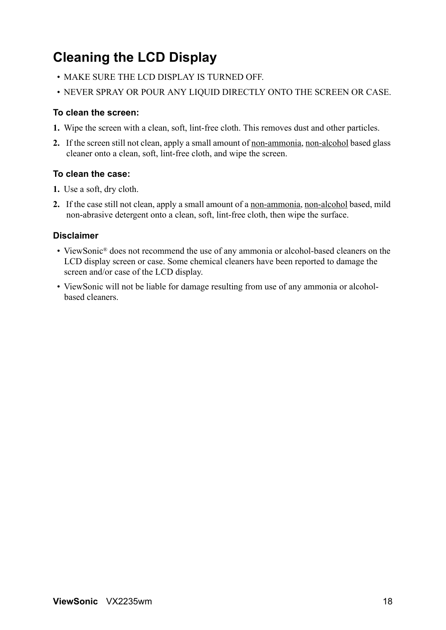# **Cleaning the LCD Display**

- MAKE SURE THE LCD DISPLAY IS TURNED OFF.
- NEVER SPRAY OR POUR ANY LIQUID DIRECTLY ONTO THE SCREEN OR CASE.

### **To clean the screen:**

- **1.** Wipe the screen with a clean, soft, lint-free cloth. This removes dust and other particles.
- **2.** If the screen still not clean, apply a small amount of non-ammonia, non-alcohol based glass cleaner onto a clean, soft, lint-free cloth, and wipe the screen.

### **To clean the case:**

- **1.** Use a soft, dry cloth.
- **2.** If the case still not clean, apply a small amount of a non-ammonia, non-alcohol based, mild non-abrasive detergent onto a clean, soft, lint-free cloth, then wipe the surface.

### **Disclaimer**

- ViewSonic<sup>®</sup> does not recommend the use of any ammonia or alcohol-based cleaners on the LCD display screen or case. Some chemical cleaners have been reported to damage the screen and/or case of the LCD display.
- ViewSonic will not be liable for damage resulting from use of any ammonia or alcoholbased cleaners.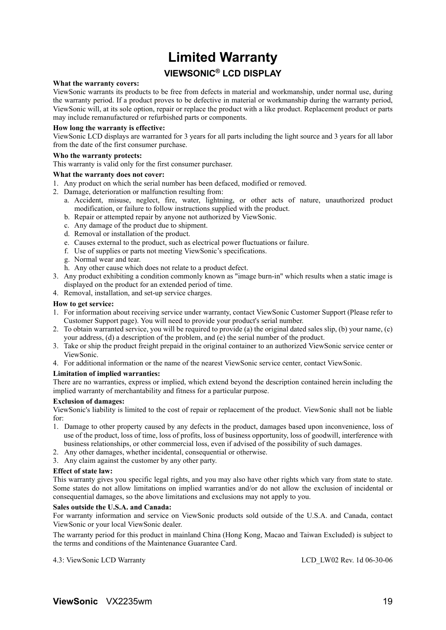### **Limited Warranty VIEWSONIC® LCD DISPLAY**

#### **What the warranty covers:**

ViewSonic warrants its products to be free from defects in material and workmanship, under normal use, during the warranty period. If a product proves to be defective in material or workmanship during the warranty period, ViewSonic will, at its sole option, repair or replace the product with a like product. Replacement product or parts may include remanufactured or refurbished parts or components.

#### **How long the warranty is effective:**

ViewSonic LCD displays are warranted for 3 years for all parts including the light source and 3 years for all labor from the date of the first consumer purchase.

#### **Who the warranty protects:**

This warranty is valid only for the first consumer purchaser.

#### **What the warranty does not cover:**

- 1. Any product on which the serial number has been defaced, modified or removed.
- 2. Damage, deterioration or malfunction resulting from:
	- a. Accident, misuse, neglect, fire, water, lightning, or other acts of nature, unauthorized product modification, or failure to follow instructions supplied with the product.
	- b. Repair or attempted repair by anyone not authorized by ViewSonic.
	- c. Any damage of the product due to shipment.
	- d. Removal or installation of the product.
	- e. Causes external to the product, such as electrical power fluctuations or failure.
	- f. Use of supplies or parts not meeting ViewSonic's specifications.
	- g. Normal wear and tear.
	- h. Any other cause which does not relate to a product defect.
- 3. Any product exhibiting a condition commonly known as "image burn-in" which results when a static image is displayed on the product for an extended period of time.
- 4. Removal, installation, and set-up service charges.

#### **How to get service:**

- 1. For information about receiving service under warranty, contact ViewSonic Customer Support (Please refer to Customer Support page). You will need to provide your product's serial number.
- 2. To obtain warranted service, you will be required to provide (a) the original dated sales slip, (b) your name, (c) your address, (d) a description of the problem, and (e) the serial number of the product.
- 3. Take or ship the product freight prepaid in the original container to an authorized ViewSonic service center or ViewSonic.
- 4. For additional information or the name of the nearest ViewSonic service center, contact ViewSonic.

#### **Limitation of implied warranties:**

There are no warranties, express or implied, which extend beyond the description contained herein including the implied warranty of merchantability and fitness for a particular purpose.

#### **Exclusion of damages:**

ViewSonic's liability is limited to the cost of repair or replacement of the product. ViewSonic shall not be liable for:

- 1. Damage to other property caused by any defects in the product, damages based upon inconvenience, loss of use of the product, loss of time, loss of profits, loss of business opportunity, loss of goodwill, interference with business relationships, or other commercial loss, even if advised of the possibility of such damages.
- 2. Any other damages, whether incidental, consequential or otherwise.
- 3. Any claim against the customer by any other party.

#### **Effect of state law:**

This warranty gives you specific legal rights, and you may also have other rights which vary from state to state. Some states do not allow limitations on implied warranties and/or do not allow the exclusion of incidental or consequential damages, so the above limitations and exclusions may not apply to you.

#### **Sales outside the U.S.A. and Canada:**

For warranty information and service on ViewSonic products sold outside of the U.S.A. and Canada, contact ViewSonic or your local ViewSonic dealer.

The warranty period for this product in mainland China (Hong Kong, Macao and Taiwan Excluded) is subject to the terms and conditions of the Maintenance Guarantee Card.

4.3: ViewSonic LCD Warranty LCD\_LW02 Rev. 1d 06-30-06